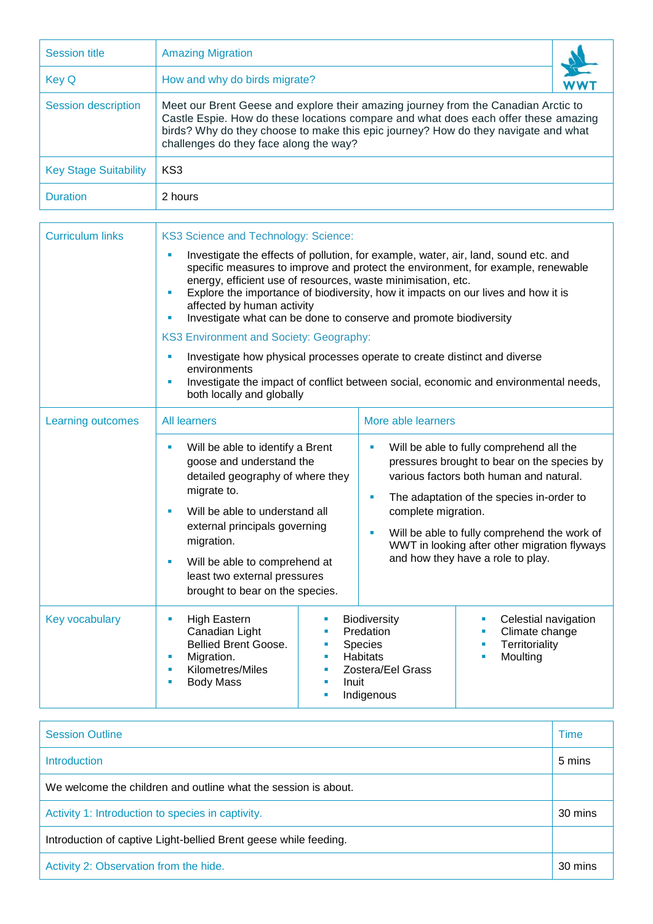| <b>Session title</b>         | <b>Amazing Migration</b>                                                                                                                                                                                                                                                                                  |  |  |
|------------------------------|-----------------------------------------------------------------------------------------------------------------------------------------------------------------------------------------------------------------------------------------------------------------------------------------------------------|--|--|
| <b>Key Q</b>                 | How and why do birds migrate?                                                                                                                                                                                                                                                                             |  |  |
| <b>Session description</b>   | Meet our Brent Geese and explore their amazing journey from the Canadian Arctic to<br>Castle Espie. How do these locations compare and what does each offer these amazing<br>birds? Why do they choose to make this epic journey? How do they navigate and what<br>challenges do they face along the way? |  |  |
| <b>Key Stage Suitability</b> | KS3                                                                                                                                                                                                                                                                                                       |  |  |
| <b>Duration</b>              | 2 hours                                                                                                                                                                                                                                                                                                   |  |  |

| <b>Curriculum links</b>  | KS3 Science and Technology: Science:                                                                                                                                                                                                                                                                                                                                                                                                                   |                                                                                                                                                                                                                                                                                                                                                             |  |  |  |
|--------------------------|--------------------------------------------------------------------------------------------------------------------------------------------------------------------------------------------------------------------------------------------------------------------------------------------------------------------------------------------------------------------------------------------------------------------------------------------------------|-------------------------------------------------------------------------------------------------------------------------------------------------------------------------------------------------------------------------------------------------------------------------------------------------------------------------------------------------------------|--|--|--|
|                          | Investigate the effects of pollution, for example, water, air, land, sound etc. and<br>specific measures to improve and protect the environment, for example, renewable<br>energy, efficient use of resources, waste minimisation, etc.<br>Explore the importance of biodiversity, how it impacts on our lives and how it is<br>$\blacksquare$<br>affected by human activity<br>Investigate what can be done to conserve and promote biodiversity<br>ш |                                                                                                                                                                                                                                                                                                                                                             |  |  |  |
|                          | <b>KS3 Environment and Society: Geography:</b>                                                                                                                                                                                                                                                                                                                                                                                                         |                                                                                                                                                                                                                                                                                                                                                             |  |  |  |
|                          | Investigate how physical processes operate to create distinct and diverse<br>ш<br>environments<br>Investigate the impact of conflict between social, economic and environmental needs,<br>ш<br>both locally and globally                                                                                                                                                                                                                               |                                                                                                                                                                                                                                                                                                                                                             |  |  |  |
| <b>Learning outcomes</b> | <b>All learners</b>                                                                                                                                                                                                                                                                                                                                                                                                                                    | More able learners                                                                                                                                                                                                                                                                                                                                          |  |  |  |
|                          | Will be able to identify a Brent<br>Ľ,<br>goose and understand the<br>detailed geography of where they<br>migrate to.<br>Will be able to understand all<br>×<br>external principals governing<br>migration.<br>Will be able to comprehend at<br>ш<br>least two external pressures<br>brought to bear on the species.                                                                                                                                   | Will be able to fully comprehend all the<br>×<br>pressures brought to bear on the species by<br>various factors both human and natural.<br>The adaptation of the species in-order to<br>×<br>complete migration.<br>Will be able to fully comprehend the work of<br>Ľ,<br>WWT in looking after other migration flyways<br>and how they have a role to play. |  |  |  |
| Key vocabulary           | <b>High Eastern</b><br>ш<br>ш<br>Canadian Light<br>I.<br>Bellied Brent Goose.<br>I.<br>Migration.<br>×<br>ш<br>Kilometres/Miles<br>ш<br>I.<br><b>Body Mass</b><br>n<br>×<br>٠                                                                                                                                                                                                                                                                          | Biodiversity<br>Celestial navigation<br>×<br>Predation<br>Climate change<br>Territoriality<br><b>Species</b><br>Ì.<br><b>Habitats</b><br>Moulting<br>×<br>Zostera/Eel Grass<br>Inuit<br>Indigenous                                                                                                                                                          |  |  |  |

| <b>Session Outline</b>                                           | <b>Time</b> |
|------------------------------------------------------------------|-------------|
| Introduction                                                     | 5 mins      |
| We welcome the children and outline what the session is about.   |             |
| Activity 1: Introduction to species in captivity.                |             |
| Introduction of captive Light-bellied Brent geese while feeding. |             |
| Activity 2: Observation from the hide.                           |             |